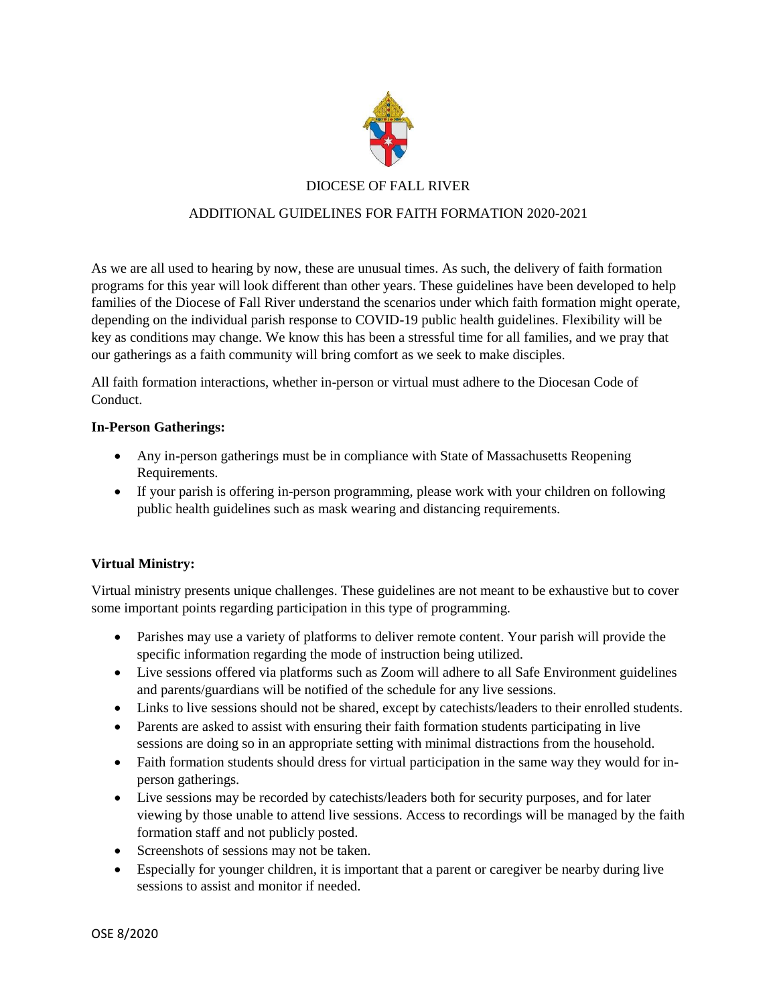

# DIOCESE OF FALL RIVER

### ADDITIONAL GUIDELINES FOR FAITH FORMATION 2020-2021

As we are all used to hearing by now, these are unusual times. As such, the delivery of faith formation programs for this year will look different than other years. These guidelines have been developed to help families of the Diocese of Fall River understand the scenarios under which faith formation might operate, depending on the individual parish response to COVID-19 public health guidelines. Flexibility will be key as conditions may change. We know this has been a stressful time for all families, and we pray that our gatherings as a faith community will bring comfort as we seek to make disciples.

All faith formation interactions, whether in-person or virtual must adhere to the Diocesan Code of Conduct.

#### **In-Person Gatherings:**

- Any in-person gatherings must be in compliance with State of Massachusetts Reopening Requirements.
- If your parish is offering in-person programming, please work with your children on following public health guidelines such as mask wearing and distancing requirements.

#### **Virtual Ministry:**

Virtual ministry presents unique challenges. These guidelines are not meant to be exhaustive but to cover some important points regarding participation in this type of programming.

- Parishes may use a variety of platforms to deliver remote content. Your parish will provide the specific information regarding the mode of instruction being utilized.
- Live sessions offered via platforms such as Zoom will adhere to all Safe Environment guidelines and parents/guardians will be notified of the schedule for any live sessions.
- Links to live sessions should not be shared, except by catechists/leaders to their enrolled students.
- Parents are asked to assist with ensuring their faith formation students participating in live sessions are doing so in an appropriate setting with minimal distractions from the household.
- Faith formation students should dress for virtual participation in the same way they would for inperson gatherings.
- Live sessions may be recorded by catechists/leaders both for security purposes, and for later viewing by those unable to attend live sessions. Access to recordings will be managed by the faith formation staff and not publicly posted.
- Screenshots of sessions may not be taken.
- Especially for younger children, it is important that a parent or caregiver be nearby during live sessions to assist and monitor if needed.